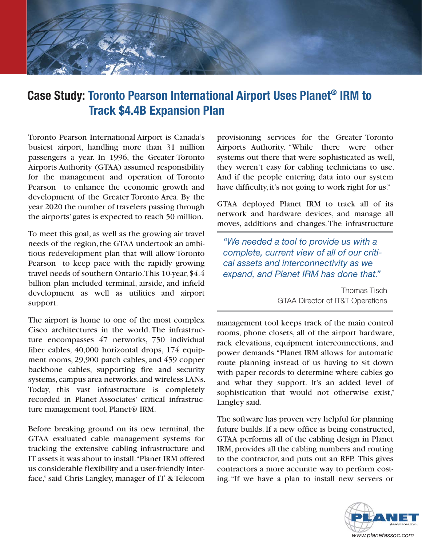

## **Case Study: Toronto Pearson International Airport Uses Planet<sup>®</sup> IRM to Track \$4.4B Expansion Plan**

Toronto Pearson International Airport is Canada's busiest airport, handling more than 31 million passengers a year. In 1996, the Greater Toronto Airports Authority (GTAA) assumed responsibility for the management and operation of Toronto Pearson to enhance the economic growth and development of the Greater Toronto Area. By the year 2020 the number of travelers passing through the airports' gates is expected to reach 50 million.

To meet this goal, as well as the growing air travel needs of the region, the GTAA undertook an ambitious redevelopment plan that will allow Toronto Pearson to keep pace with the rapidly growing travel needs of southern Ontario. This 10-year, \$4.4 billion plan included terminal, airside, and infield development as well as utilities and airport support.

The airport is home to one of the most complex Cisco architectures in the world. The infrastructure encompasses 47 networks, 750 individual fiber cables,  $40,000$  horizontal drops,  $174$  equipment rooms, 29,900 patch cables, and 459 copper backbone cables, supporting fire and security systems, campus area networks, and wireless LANs. Today, this vast infrastructure is completely recorded in Planet Associates' critical infrastructure management tool, Planet® IRM.

Before breaking ground on its new terminal, the GTAA evaluated cable management systems for tracking the extensive cabling infrastructure and IT assets it was about to install. "Planet IRM offered us considerable flexibility and a user-friendly interface," said Chris Langley, manager of IT & Telecom

provisioning services for the Greater Toronto Airports Authority. "While there were other systems out there that were sophisticated as well, they weren't easy for cabling technicians to use. And if the people entering data into our system have difficulty, it's not going to work right for us."

GTAA deployed Planet IRM to track all of its network and hardware devices, and manage all moves, additions and changes. The infrastructure

*<i>Me* needed a tool to provide us with a complete, current view of all of our criti $cal$ assets and interconnectivity as we *Expand, and Planet IRM has done that."* 

> Thomas Tisch GTAA Director of IT&T Operations

management tool keeps track of the main control rooms, phone closets, all of the airport hardware, rack elevations, equipment interconnections, and power demands. "Planet IRM allows for automatic route planning instead of us having to sit down with paper records to determine where cables go and what they support. It's an added level of sophistication that would not otherwise exist," Langley said.

The software has proven very helpful for planning future builds. If a new office is being constructed, GTAA performs all of the cabling design in Planet IRM, provides all the cabling numbers and routing to the contractor, and puts out an RFP. This gives contractors a more accurate way to perform costing. "If we have a plan to install new servers or